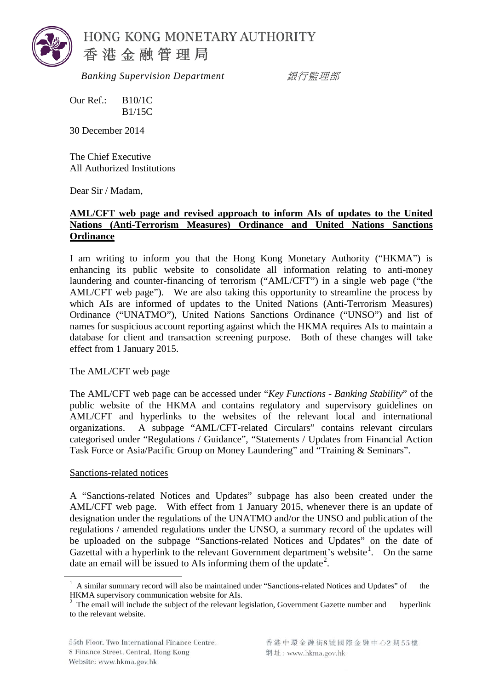

 *Banking Supervision Department* 銀行監理部

Our Ref.: B10/1C B1/15C

30 December 2014

The Chief Executive All Authorized Institutions

Dear Sir / Madam,

## **AML/CFT web page and revised approach to inform AIs of updates to the United Nations (Anti-Terrorism Measures) Ordinance and United Nations Sanctions Ordinance**

I am writing to inform you that the Hong Kong Monetary Authority ("HKMA") is enhancing its public website to consolidate all information relating to anti-money laundering and counter-financing of terrorism ("AML/CFT") in a single web page ("the AML/CFT web page"). We are also taking this opportunity to streamline the process by which AIs are informed of updates to the United Nations (Anti-Terrorism Measures) Ordinance ("UNATMO"), United Nations Sanctions Ordinance ("UNSO") and list of names for suspicious account reporting against which the HKMA requires AIs to maintain a database for client and transaction screening purpose. Both of these changes will take effect from 1 January 2015.

## The AML/CFT web page

The AML/CFT web page can be accessed under "*Key Functions - Banking Stability*" of the public website of the HKMA and contains regulatory and supervisory guidelines on AML/CFT and hyperlinks to the websites of the relevant local and international organizations. A subpage "AML/CFT-related Circulars" contains relevant circulars categorised under "Regulations / Guidance", "Statements / Updates from Financial Action Task Force or Asia/Pacific Group on Money Laundering" and "Training & Seminars".

## Sanctions-related notices

A "Sanctions-related Notices and Updates" subpage has also been created under the AML/CFT web page. With effect from 1 January 2015, whenever there is an update of designation under the regulations of the UNATMO and/or the UNSO and publication of the regulations / amended regulations under the UNSO, a summary record of the updates will be uploaded on the subpage "Sanctions-related Notices and Updates" on the date of Gazettal with a hyperlink to the relevant Government department's website<sup>[1](#page-0-0)</sup>. On the same date an email will be issued to AIs informing them of the update<sup>[2](#page-0-1)</sup>.

<span id="page-0-0"></span> $1$  A similar summary record will also be maintained under "Sanctions-related Notices and Updates" of the HKMA supervisory communication website for AIs.

<span id="page-0-1"></span><sup>&</sup>lt;sup>2</sup> The email will include the subject of the relevant legislation, Government Gazette number and hyperlink to the relevant website.